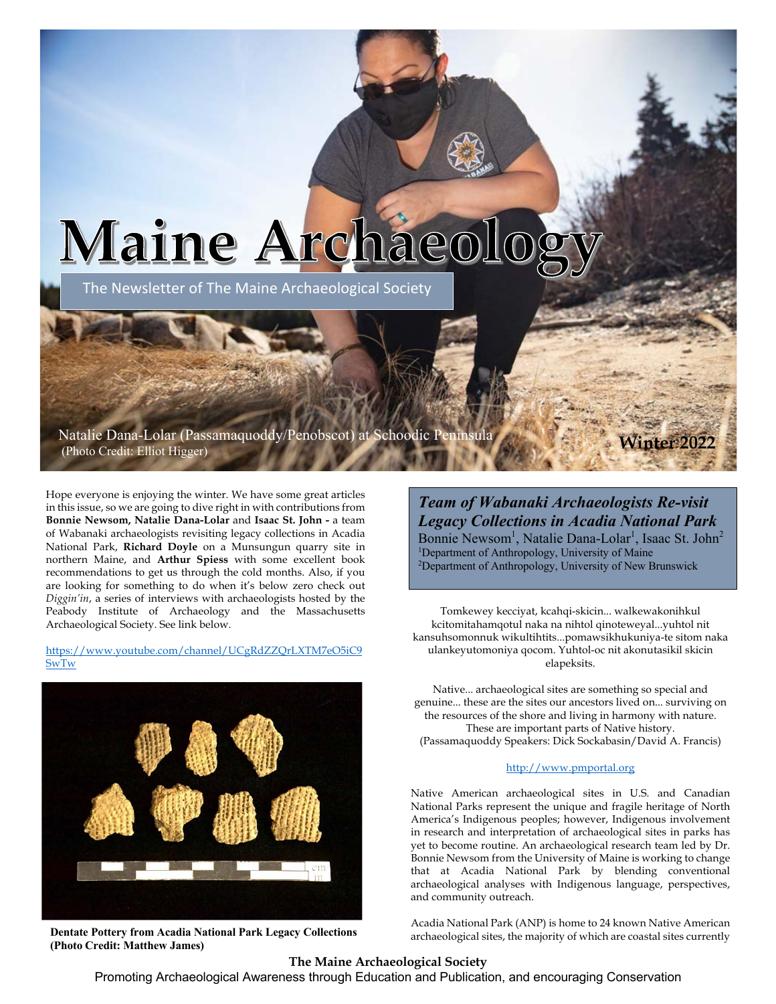# Maine Archaeo

The Newsletter of The Maine Archaeological Society

Natalie Dana-Lolar (Passamaquoddy/Penobscot) at Schoodic Peninsula (Photo Credit: Elliot Higger) **Winter 2022**

Hope everyone is enjoying the winter. We have some great articles in this issue, so we are going to dive right in with contributions from **Bonnie Newsom, Natalie Dana-Lolar** and **Isaac St. John -** a team of Wabanaki archaeologists revisiting legacy collections in Acadia National Park, **Richard Doyle** on a Munsungun quarry site in northern Maine, and **Arthur Spiess** with some excellent book recommendations to get us through the cold months. Also, if you are looking for something to do when it's below zero check out *Diggin'in*, a series of interviews with archaeologists hosted by the Peabody Institute of Archaeology and the Massachusetts Archaeological Society. See link below.

https://www.youtube.com/channel/UCgRdZZQrLXTM7eO5iC9 SwTw



**Dentate Pottery from Acadia National Park Legacy Collections (Photo Credit: Matthew James)**

*Team of Wabanaki Archaeologists Re-visit Legacy Collections in Acadia National Park* Bonnie Newsom<sup>1</sup>, Natalie Dana-Lolar<sup>1</sup>, Isaac St. John<sup>2</sup> <sup>1</sup>Department of Anthropology, University of Maine <sup>2</sup>Department of Anthropology, University of New Brunswick

Tomkewey kecciyat, kcahqi-skicin... walkewakonihkul kcitomitahamqotul naka na nihtol qinoteweyal...yuhtol nit kansuhsomonnuk wikultihtits...pomawsikhukuniya-te sitom naka ulankeyutomoniya qocom. Yuhtol-oc nit akonutasikil skicin elapeksits.

Native... archaeological sites are something so special and genuine... these are the sites our ancestors lived on... surviving on the resources of the shore and living in harmony with nature. These are important parts of Native history. (Passamaquoddy Speakers: Dick Sockabasin/David A. Francis)

#### http://www.pmportal.org

Native American archaeological sites in U.S. and Canadian National Parks represent the unique and fragile heritage of North America's Indigenous peoples; however, Indigenous involvement in research and interpretation of archaeological sites in parks has yet to become routine. An archaeological research team led by Dr. Bonnie Newsom from the University of Maine is working to change that at Acadia National Park by blending conventional archaeological analyses with Indigenous language, perspectives, and community outreach.

Acadia National Park (ANP) is home to 24 known Native American archaeological sites, the majority of which are coastal sites currently

#### **The Maine Archaeological Society**

Promoting Archaeological Awareness through Education and Publication, and encouraging Conservation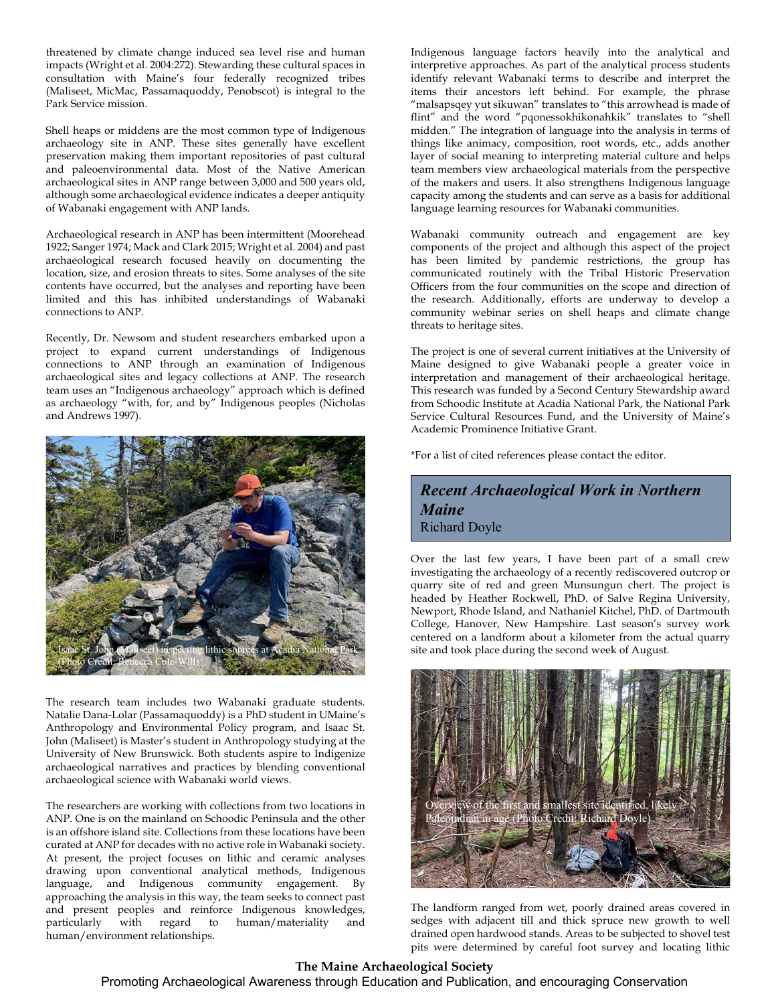threatened by climate change induced sea level rise and human impacts (Wright et al. 2004:272). Stewarding these cultural spaces in consultation with Maine's four federally recognized tribes (Maliseet, MicMac, Passamaquoddy, Penobscot) is integral to the Park Service mission.

Shell heaps or middens are the most common type of Indigenous archaeology site in ANP. These sites generally have excellent preservation making them important repositories of past cultural and paleoenvironmental data. Most of the Native American archaeological sites in ANP range between 3,000 and 500 years old, although some archaeological evidence indicates a deeper antiquity of Wabanaki engagement with ANP lands.

Archaeological research in ANP has been intermittent (Moorehead 1922; Sanger 1974; Mack and Clark 2015; Wright et al. 2004) and past archaeological research focused heavily on documenting the location, size, and erosion threats to sites. Some analyses of the site contents have occurred, but the analyses and reporting have been limited and this has inhibited understandings of Wabanaki connections to ANP.

Recently, Dr. Newsom and student researchers embarked upon a project to expand current understandings of Indigenous connections to ANP through an examination of Indigenous archaeological sites and legacy collections at ANP. The research team uses an "Indigenous archaeology" approach which is defined as archaeology "with, for, and by" Indigenous peoples (Nicholas and Andrews 1997).



The research team includes two Wabanaki graduate students. Natalie Dana-Lolar (Passamaquoddy) is a PhD student in UMaine's Anthropology and Environmental Policy program, and Isaac St. John (Maliseet) is Master's student in Anthropology studying at the University of New Brunswick. Both students aspire to Indigenize archaeological narratives and practices by blending conventional archaeological science with Wabanaki world views.

The researchers are working with collections from two locations in ANP. One is on the mainland on Schoodic Peninsula and the other is an offshore island site. Collections from these locations have been curated at ANP for decades with no active role in Wabanaki society. At present, the project focuses on lithic and ceramic analyses drawing upon conventional analytical methods, Indigenous language, and Indigenous community engagement. By approaching the analysis in this way, the team seeks to connect past and present peoples and reinforce Indigenous knowledges, particularly with regard to human/materiality and human/environment relationships.

Indigenous language factors heavily into the analytical and interpretive approaches. As part of the analytical process students identify relevant Wabanaki terms to describe and interpret the items their ancestors left behind. For example, the phrase "malsapsqey yut sikuwan" translates to "this arrowhead is made of flint" and the word "pqonessokhikonahkik" translates to "shell midden." The integration of language into the analysis in terms of things like animacy, composition, root words, etc., adds another layer of social meaning to interpreting material culture and helps team members view archaeological materials from the perspective of the makers and users. It also strengthens Indigenous language capacity among the students and can serve as a basis for additional language learning resources for Wabanaki communities.

Wabanaki community outreach and engagement are key components of the project and although this aspect of the project has been limited by pandemic restrictions, the group has communicated routinely with the Tribal Historic Preservation Officers from the four communities on the scope and direction of the research. Additionally, efforts are underway to develop a community webinar series on shell heaps and climate change threats to heritage sites.

The project is one of several current initiatives at the University of Maine designed to give Wabanaki people a greater voice in interpretation and management of their archaeological heritage. This research was funded by a Second Century Stewardship award from Schoodic Institute at Acadia National Park, the National Park Service Cultural Resources Fund, and the University of Maine's Academic Prominence Initiative Grant.

\*For a list of cited references please contact the editor.

*Recent Archaeological Work in Northern Maine* Richard Doyle

Over the last few years, I have been part of a small crew investigating the archaeology of a recently rediscovered outcrop or quarry site of red and green Munsungun chert. The project is headed by Heather Rockwell, PhD. of Salve Regina University, Newport, Rhode Island, and Nathaniel Kitchel, PhD. of Dartmouth College, Hanover, New Hampshire. Last season's survey work centered on a landform about a kilometer from the actual quarry site and took place during the second week of August.



The landform ranged from wet, poorly drained areas covered in sedges with adjacent till and thick spruce new growth to well drained open hardwood stands. Areas to be subjected to shovel test pits were determined by careful foot survey and locating lithic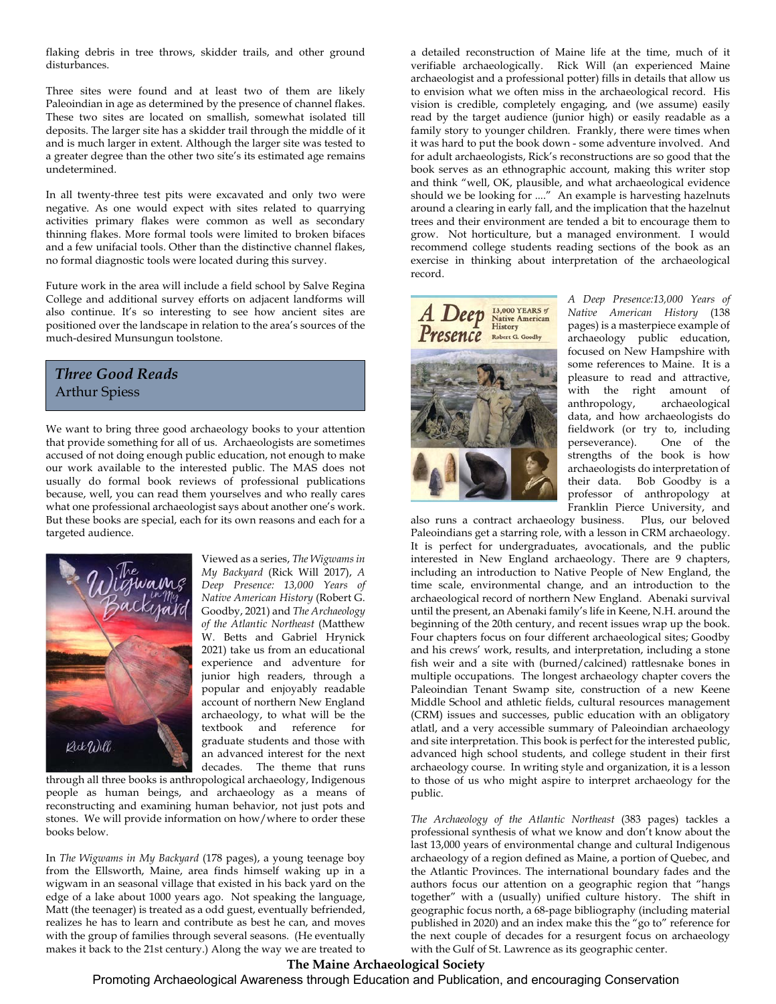flaking debris in tree throws, skidder trails, and other ground disturbances.

Three sites were found and at least two of them are likely Paleoindian in age as determined by the presence of channel flakes. These two sites are located on smallish, somewhat isolated till deposits. The larger site has a skidder trail through the middle of it and is much larger in extent. Although the larger site was tested to a greater degree than the other two site's its estimated age remains undetermined.

In all twenty-three test pits were excavated and only two were negative. As one would expect with sites related to quarrying activities primary flakes were common as well as secondary thinning flakes. More formal tools were limited to broken bifaces and a few unifacial tools. Other than the distinctive channel flakes, no formal diagnostic tools were located during this survey.

Future work in the area will include a field school by Salve Regina College and additional survey efforts on adjacent landforms will also continue. It's so interesting to see how ancient sites are positioned over the landscape in relation to the area's sources of the much-desired Munsungun toolstone.

#### *Three Good Reads* Arthur Spiess

We want to bring three good archaeology books to your attention that provide something for all of us. Archaeologists are sometimes accused of not doing enough public education, not enough to make our work available to the interested public. The MAS does not usually do formal book reviews of professional publications because, well, you can read them yourselves and who really cares what one professional archaeologist says about another one's work. But these books are special, each for its own reasons and each for a targeted audience.



Viewed as a series, *The Wigwams in My Backyard* (Rick Will 2017), *A Deep Presence: 13,000 Years of Native American History* (Robert G. Goodby, 2021) and *The Archaeology of the Atlantic Northeast* (Matthew W. Betts and Gabriel Hrynick 2021) take us from an educational experience and adventure for junior high readers, through a popular and enjoyably readable account of northern New England archaeology, to what will be the textbook and reference for graduate students and those with an advanced interest for the next decades. The theme that runs

through all three books is anthropological archaeology, Indigenous people as human beings, and archaeology as a means of reconstructing and examining human behavior, not just pots and stones. We will provide information on how/where to order these books below.

In *The Wigwams in My Backyard* (178 pages), a young teenage boy from the Ellsworth, Maine, area finds himself waking up in a wigwam in an seasonal village that existed in his back yard on the edge of a lake about 1000 years ago. Not speaking the language, Matt (the teenager) is treated as a odd guest, eventually befriended, realizes he has to learn and contribute as best he can, and moves with the group of families through several seasons. (He eventually makes it back to the 21st century.) Along the way we are treated to a detailed reconstruction of Maine life at the time, much of it verifiable archaeologically. Rick Will (an experienced Maine archaeologist and a professional potter) fills in details that allow us to envision what we often miss in the archaeological record. His vision is credible, completely engaging, and (we assume) easily read by the target audience (junior high) or easily readable as a family story to younger children. Frankly, there were times when it was hard to put the book down - some adventure involved. And for adult archaeologists, Rick's reconstructions are so good that the book serves as an ethnographic account, making this writer stop and think "well, OK, plausible, and what archaeological evidence should we be looking for ...." An example is harvesting hazelnuts around a clearing in early fall, and the implication that the hazelnut trees and their environment are tended a bit to encourage them to grow. Not horticulture, but a managed environment. I would recommend college students reading sections of the book as an exercise in thinking about interpretation of the archaeological record.



*A Deep Presence:13,000 Years of Native American History* (138 pages) is a masterpiece example of archaeology public education, focused on New Hampshire with some references to Maine. It is a pleasure to read and attractive, with the right amount of anthropology, archaeological data, and how archaeologists do fieldwork (or try to, including perseverance). One of the strengths of the book is how archaeologists do interpretation of their data. Bob Goodby is a professor of anthropology at Franklin Pierce University, and

also runs a contract archaeology business. Plus, our beloved Paleoindians get a starring role, with a lesson in CRM archaeology. It is perfect for undergraduates, avocationals, and the public interested in New England archaeology. There are 9 chapters, including an introduction to Native People of New England, the time scale, environmental change, and an introduction to the archaeological record of northern New England. Abenaki survival until the present, an Abenaki family's life in Keene, N.H. around the beginning of the 20th century, and recent issues wrap up the book. Four chapters focus on four different archaeological sites; Goodby and his crews' work, results, and interpretation, including a stone fish weir and a site with (burned/calcined) rattlesnake bones in multiple occupations. The longest archaeology chapter covers the Paleoindian Tenant Swamp site, construction of a new Keene Middle School and athletic fields, cultural resources management (CRM) issues and successes, public education with an obligatory atlatl, and a very accessible summary of Paleoindian archaeology and site interpretation. This book is perfect for the interested public, advanced high school students, and college student in their first archaeology course. In writing style and organization, it is a lesson to those of us who might aspire to interpret archaeology for the public.

*The Archaeology of the Atlantic Northeast* (383 pages) tackles a professional synthesis of what we know and don't know about the last 13,000 years of environmental change and cultural Indigenous archaeology of a region defined as Maine, a portion of Quebec, and the Atlantic Provinces. The international boundary fades and the authors focus our attention on a geographic region that "hangs together" with a (usually) unified culture history. The shift in geographic focus north, a 68-page bibliography (including material published in 2020) and an index make this the "go to" reference for the next couple of decades for a resurgent focus on archaeology with the Gulf of St. Lawrence as its geographic center.

## **The Maine Archaeological Society**

Promoting Archaeological Awareness through Education and Publication, and encouraging Conservation